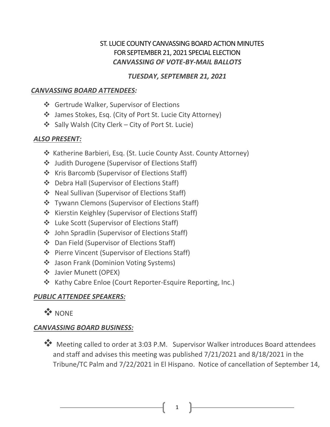## ST. LUCIE COUNTY CANVASSING BOARD ACTION MINUTES FOR SEPTEMBER 21, 2021 SPECIAL ELECTION *CANVASSING OF VOTE-BY-MAIL BALLOTS*

### *TUESDAY, SEPTEMBER 21, 2021*

#### *CANVASSING BOARD ATTENDEES:*

- ❖ Gertrude Walker, Supervisor of Elections
- James Stokes, Esq. (City of Port St. Lucie City Attorney)
- Sally Walsh (City Clerk City of Port St. Lucie)

## *ALSO PRESENT:*

- ❖ Katherine Barbieri, Esq. (St. Lucie County Asst. County Attorney)
- Judith Durogene (Supervisor of Elections Staff)
- ❖ Kris Barcomb (Supervisor of Elections Staff)
- ❖ Debra Hall (Supervisor of Elections Staff)
- Neal Sullivan (Supervisor of Elections Staff)
- ❖ Tywann Clemons (Supervisor of Elections Staff)
- ❖ Kierstin Keighley (Supervisor of Elections Staff)
- Luke Scott (Supervisor of Elections Staff)
- John Spradlin (Supervisor of Elections Staff)
- Dan Field (Supervisor of Elections Staff)
- Pierre Vincent (Supervisor of Elections Staff)
- ❖ Jason Frank (Dominion Voting Systems)
- Javier Munett (OPEX)
- ❖ Kathy Cabre Enloe (Court Reporter-Esquire Reporting, Inc.)

# *PUBLIC ATTENDEE SPEAKERS:*

**WANDRE** 

# *CANVASSING BOARD BUSINESS:*

\*\* Meeting called to order at 3:03 P.M. Supervisor Walker introduces Board attendees and staff and advises this meeting was published 7/21/2021 and 8/18/2021 in the Tribune/TC Palm and 7/22/2021 in El Hispano. Notice of cancellation of September 14,

1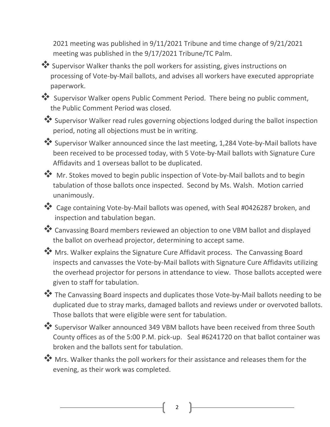2021 meeting was published in 9/11/2021 Tribune and time change of 9/21/2021 meeting was published in the 9/17/2021 Tribune/TC Palm.

 Supervisor Walker thanks the poll workers for assisting, gives instructions on processing of Vote-by-Mail ballots, and advises all workers have executed appropriate paperwork.

 Supervisor Walker opens Public Comment Period. There being no public comment, the Public Comment Period was closed.

 Supervisor Walker read rules governing objections lodged during the ballot inspection period, noting all objections must be in writing.

 Supervisor Walker announced since the last meeting, 1,284 Vote-by-Mail ballots have been received to be processed today, with 5 Vote-by-Mail ballots with Signature Cure Affidavits and 1 overseas ballot to be duplicated.

Mr. Stokes moved to begin public inspection of Vote-by-Mail ballots and to begin tabulation of those ballots once inspected. Second by Ms. Walsh. Motion carried unanimously.

\*\* Cage containing Vote-by-Mail ballots was opened, with Seal #0426287 broken, and inspection and tabulation began.

\*\* Canvassing Board members reviewed an objection to one VBM ballot and displayed the ballot on overhead projector, determining to accept same.

**W** Mrs. Walker explains the Signature Cure Affidavit process. The Canvassing Board inspects and canvasses the Vote-by-Mail ballots with Signature Cure Affidavits utilizing the overhead projector for persons in attendance to view. Those ballots accepted were given to staff for tabulation.

\*\* The Canvassing Board inspects and duplicates those Vote-by-Mail ballots needing to be duplicated due to stray marks, damaged ballots and reviews under or overvoted ballots. Those ballots that were eligible were sent for tabulation.

 Supervisor Walker announced 349 VBM ballots have been received from three South County offices as of the 5:00 P.M. pick-up. Seal #6241720 on that ballot container was broken and the ballots sent for tabulation.

**Wrs. Walker thanks the poll workers for their assistance and releases them for the** evening, as their work was completed.